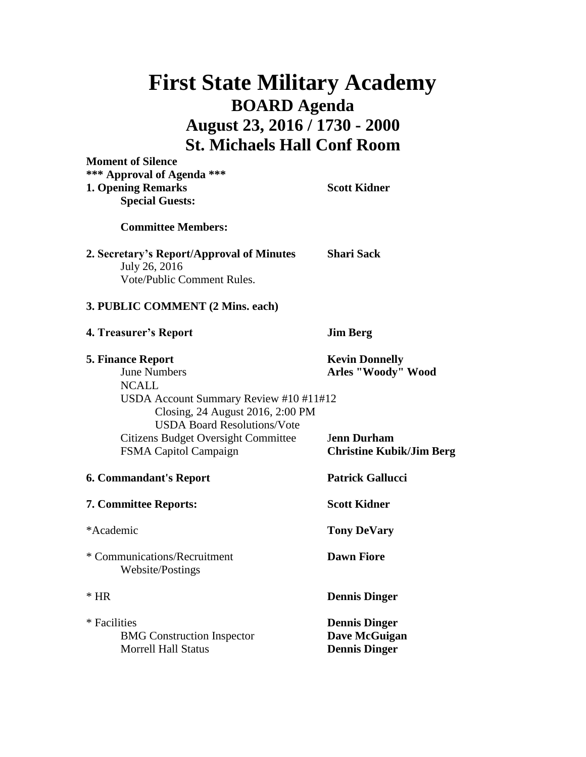## **First State Military Academy BOARD Agenda August 23, 2016 / 1730 - 2000 St. Michaels Hall Conf Room**

**Moment of Silence**

**\*\*\* Approval of Agenda \*\*\* 1. Opening Remarks Scott Kidner Special Guests: Committee Members: 2. Secretary's Report/Approval of Minutes Shari Sack** July 26, 2016 Vote/Public Comment Rules. **3. PUBLIC COMMENT (2 Mins. each) 4. Treasurer's Report Jim Berg 5. Finance Report Kevin Donnelly** June Numbers **Arles "Woody" Wood** NCALL USDA Account Summary Review #10 #11#12 Closing, 24 August 2016, 2:00 PM USDA Board Resolutions/Vote Citizens Budget Oversight Committee J**enn Durham** FSMA Capitol Campaign **Christine Kubik/Jim Berg 6. Commandant's Report Patrick Gallucci 7. Committee Reports: Scott Kidner** \*Academic **Tony DeVary** \* Communications/Recruitment **Dawn Fiore** Website/Postings \* HR **Dennis Dinger** \* Facilities **Dennis Dinger**

BMG Construction Inspector **Dave McGuigan** Morrell Hall Status **Dennis Dinger**